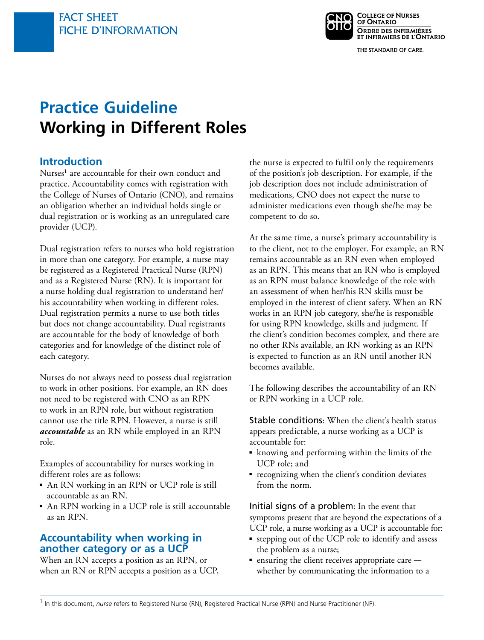

THE STANDARD OF CARE.

# **Practice Guideline Working in Different Roles**

#### **Introduction**

Nurses<sup>1</sup> are accountable for their own conduct and practice. Accountability comes with registration with the College of Nurses of Ontario (CNO), and remains an obligation whether an individual holds single or dual registration or is working as an unregulated care provider (UCP).

Dual registration refers to nurses who hold registration in more than one category. For example, a nurse may be registered as a Registered Practical Nurse (RPN) and as a Registered Nurse (RN). It is important for a nurse holding dual registration to understand her/ his accountability when working in different roles. Dual registration permits a nurse to use both titles but does not change accountability. Dual registrants are accountable for the body of knowledge of both categories and for knowledge of the distinct role of each category.

Nurses do not always need to possess dual registration to work in other positions. For example, an RN does not need to be registered with CNO as an RPN to work in an RPN role, but without registration cannot use the title RPN. However, a nurse is still *accountable* as an RN while employed in an RPN role.

Examples of accountability for nurses working in different roles are as follows:

- An RN working in an RPN or UCP role is still accountable as an RN.
- An RPN working in a UCP role is still accountable as an RPN.

#### **Accountability when working in another category or as a UCP**

When an RN accepts a position as an RPN, or when an RN or RPN accepts a position as a UCP,

the nurse is expected to fulfil only the requirements of the position's job description. For example, if the job description does not include administration of medications, CNO does not expect the nurse to administer medications even though she/he may be competent to do so.

At the same time, a nurse's primary accountability is to the client, not to the employer. For example, an RN remains accountable as an RN even when employed as an RPN. This means that an RN who is employed as an RPN must balance knowledge of the role with an assessment of when her/his RN skills must be employed in the interest of client safety. When an RN works in an RPN job category, she/he is responsible for using RPN knowledge, skills and judgment. If the client's condition becomes complex, and there are no other RNs available, an RN working as an RPN is expected to function as an RN until another RN becomes available.

The following describes the accountability of an RN or RPN working in a UCP role.

Stable conditions: When the client's health status appears predictable, a nurse working as a UCP is accountable for:

- knowing and performing within the limits of the UCP role; and
- recognizing when the client's condition deviates from the norm.

Initial signs of a problem: In the event that symptoms present that are beyond the expectations of a UCP role, a nurse working as a UCP is accountable for:

- ■ stepping out of the UCP role to identify and assess the problem as a nurse;
- ensuring the client receives appropriate care whether by communicating the information to a

1 In this document, *nurse* refers to Registered Nurse (RN), Registered Practical Nurse (RPN) and Nurse Practitioner (NP).